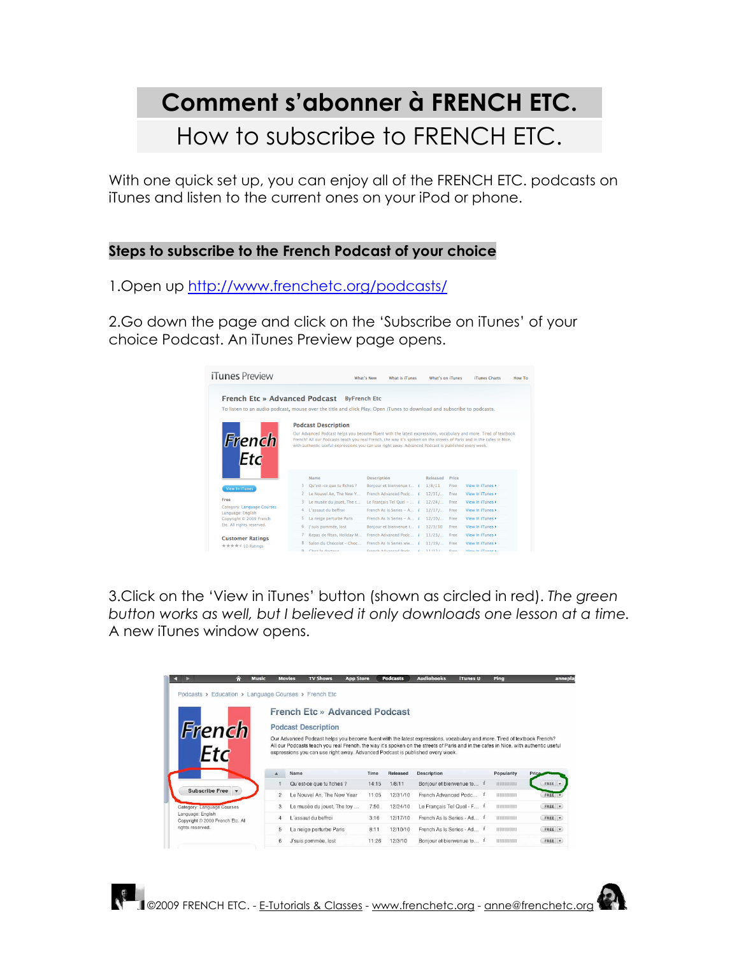## **Comment s'abonner à FRENCH ETC.** How to subscribe to FRENCH ETC.

With one quick set up, you can enjoy all of the FRENCH ETC. podcasts on iTunes and listen to the current ones on your iPod or phone.

## **Steps to subscribe to the French Podcast of your choice**

1.Open up http://www.frenchetc.org/podcasts/

2.Go down the page and click on the 'Subscribe on iTunes' of your choice Podcast. An iTunes Preview page opens.



3.Click on the 'View in iTunes' button (shown as circled in red). *The green button works as well, but I believed it only downloads one lesson at a time.* A new iTunes window opens.